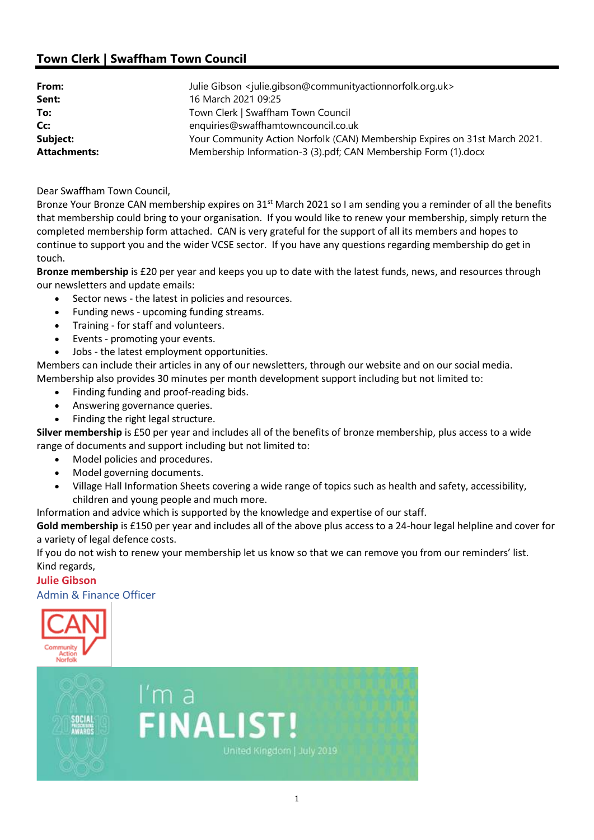## Town Clerk | Swaffham Town Council

| From:<br>Sent:      | Julie Gibson <julie.gibson@communityactionnorfolk.org.uk><br/>16 March 2021 09:25</julie.gibson@communityactionnorfolk.org.uk> |
|---------------------|--------------------------------------------------------------------------------------------------------------------------------|
| To:                 | Town Clerk   Swaffham Town Council                                                                                             |
| Cc:                 | enquiries@swaffhamtowncouncil.co.uk                                                                                            |
| Subject:            | Your Community Action Norfolk (CAN) Membership Expires on 31st March 2021.                                                     |
| <b>Attachments:</b> | Membership Information-3 (3).pdf; CAN Membership Form (1).docx                                                                 |

Dear Swaffham Town Council,

Bronze Your Bronze CAN membership expires on 31<sup>st</sup> March 2021 so I am sending you a reminder of all the benefits that membership could bring to your organisation.  If you would like to renew your membership, simply return the completed membership form attached.  CAN is very grateful for the support of all its members and hopes to continue to support you and the wider VCSE sector.  If you have any questions regarding membership do get in touch. 

Bronze membership is £20 per year and keeps you up to date with the latest funds, news, and resources through our newsletters and update emails:

- Sector news the latest in policies and resources.
- Funding news upcoming funding streams.
- Training for staff and volunteers.
- Events promoting your events.
- Jobs the latest employment opportunities.

Members can include their articles in any of our newsletters, through our website and on our social media.  Membership also provides 30 minutes per month development support including but not limited to:

- Finding funding and proof-reading bids.
- Answering governance queries.
- Finding the right legal structure.

Silver membership is £50 per year and includes all of the benefits of bronze membership, plus access to a wide range of documents and support including but not limited to:

- Model policies and procedures.
- Model governing documents.
- Village Hall Information Sheets covering a wide range of topics such as health and safety, accessibility, children and young people and much more.

Information and advice which is supported by the knowledge and expertise of our staff.    

Gold membership is £150 per year and includes all of the above plus access to a 24-hour legal helpline and cover for a variety of legal defence costs.

If you do not wish to renew your membership let us know so that we can remove you from our reminders' list. Kind regards,

## Julie Gibson

Admin & Finance Officer